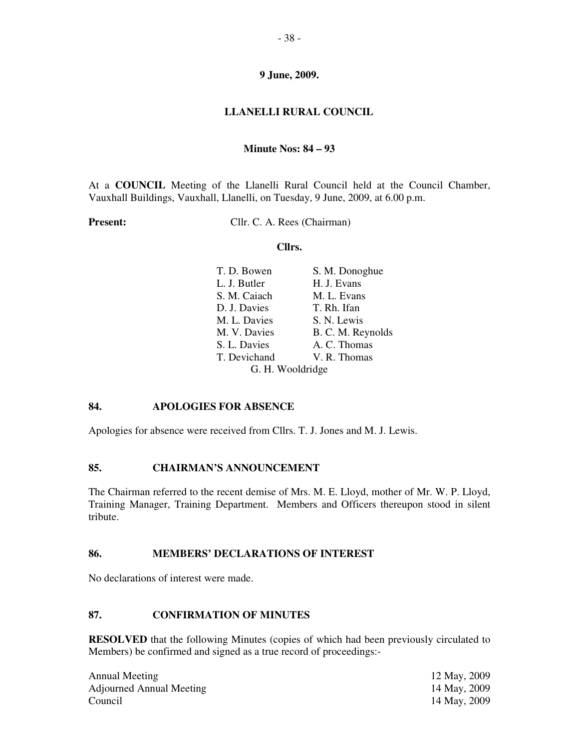# **LLANELLI RURAL COUNCIL**

## **Minute Nos: 84 – 93**

At a **COUNCIL** Meeting of the Llanelli Rural Council held at the Council Chamber, Vauxhall Buildings, Vauxhall, Llanelli, on Tuesday, 9 June, 2009, at 6.00 p.m.

**Present:** Cllr. C. A. Rees (Chairman)

#### **Cllrs.**

| T. D. Bowen  | S. M. Donoghue    |  |
|--------------|-------------------|--|
| L. J. Butler | H. J. Evans       |  |
| S. M. Caiach | M. L. Evans       |  |
| D. J. Davies | T. Rh. Ifan       |  |
| M. L. Davies | S. N. Lewis       |  |
| M. V. Davies | B. C. M. Reynolds |  |
| S. L. Davies | A. C. Thomas      |  |
| T. Devichand | V. R. Thomas      |  |
|              | G. H. Wooldridge  |  |

## **84. APOLOGIES FOR ABSENCE**

Apologies for absence were received from Cllrs. T. J. Jones and M. J. Lewis.

# **85. CHAIRMAN'S ANNOUNCEMENT**

The Chairman referred to the recent demise of Mrs. M. E. Lloyd, mother of Mr. W. P. Lloyd, Training Manager, Training Department. Members and Officers thereupon stood in silent tribute.

## **86. MEMBERS' DECLARATIONS OF INTEREST**

No declarations of interest were made.

# **87. CONFIRMATION OF MINUTES**

**RESOLVED** that the following Minutes (copies of which had been previously circulated to Members) be confirmed and signed as a true record of proceedings:-

Annual Meeting Adjourned Annual Meeting Council

12 May, 2009 14 May, 2009 14 May, 2009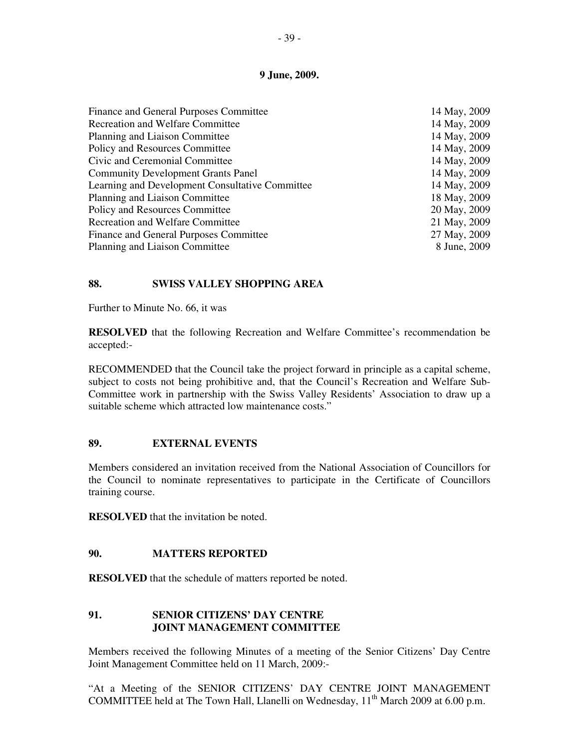| Finance and General Purposes Committee          | 14 May, 2009 |
|-------------------------------------------------|--------------|
| <b>Recreation and Welfare Committee</b>         | 14 May, 2009 |
| Planning and Liaison Committee                  | 14 May, 2009 |
| Policy and Resources Committee                  | 14 May, 2009 |
| Civic and Ceremonial Committee                  | 14 May, 2009 |
| <b>Community Development Grants Panel</b>       | 14 May, 2009 |
| Learning and Development Consultative Committee | 14 May, 2009 |
| Planning and Liaison Committee                  | 18 May, 2009 |
| Policy and Resources Committee                  | 20 May, 2009 |
| <b>Recreation and Welfare Committee</b>         | 21 May, 2009 |
| Finance and General Purposes Committee          | 27 May, 2009 |
| Planning and Liaison Committee                  | 8 June, 2009 |

## **88. SWISS VALLEY SHOPPING AREA**

Further to Minute No. 66, it was

**RESOLVED** that the following Recreation and Welfare Committee's recommendation be accepted:-

RECOMMENDED that the Council take the project forward in principle as a capital scheme, subject to costs not being prohibitive and, that the Council's Recreation and Welfare Sub-Committee work in partnership with the Swiss Valley Residents' Association to draw up a suitable scheme which attracted low maintenance costs."

## **89. EXTERNAL EVENTS**

Members considered an invitation received from the National Association of Councillors for the Council to nominate representatives to participate in the Certificate of Councillors training course.

**RESOLVED** that the invitation be noted.

#### **90. MATTERS REPORTED**

**RESOLVED** that the schedule of matters reported be noted.

# **91. SENIOR CITIZENS' DAY CENTRE JOINT MANAGEMENT COMMITTEE**

Members received the following Minutes of a meeting of the Senior Citizens' Day Centre Joint Management Committee held on 11 March, 2009:-

"At a Meeting of the SENIOR CITIZENS' DAY CENTRE JOINT MANAGEMENT COMMITTEE held at The Town Hall, Llanelli on Wednesday, 11<sup>th</sup> March 2009 at 6.00 p.m.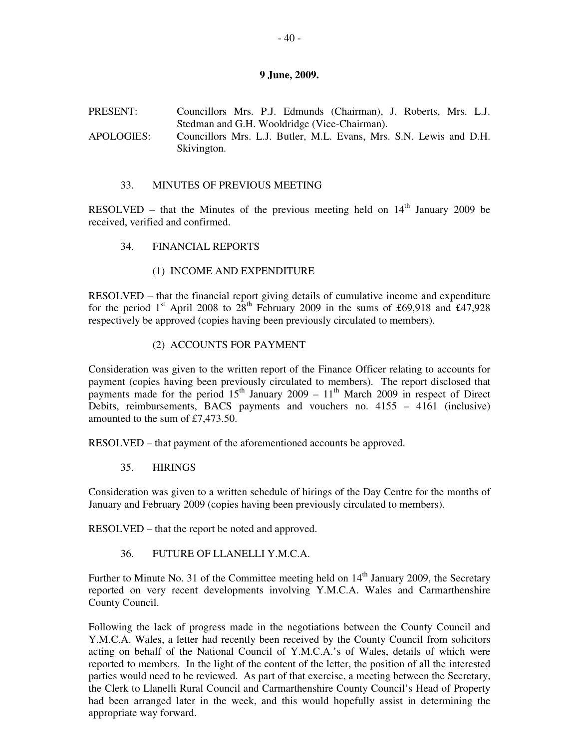## PRESENT: Councillors Mrs. P.J. Edmunds (Chairman), J. Roberts, Mrs. L.J. Stedman and G.H. Wooldridge (Vice-Chairman). APOLOGIES: Councillors Mrs. L.J. Butler, M.L. Evans, Mrs. S.N. Lewis and D.H. Skivington.

#### 33. MINUTES OF PREVIOUS MEETING

RESOLVED – that the Minutes of the previous meeting held on  $14<sup>th</sup>$  January 2009 be received, verified and confirmed.

34. FINANCIAL REPORTS

#### (1) INCOME AND EXPENDITURE

RESOLVED – that the financial report giving details of cumulative income and expenditure for the period  $1<sup>st</sup>$  April 2008 to  $28<sup>th</sup>$  February 2009 in the sums of £69,918 and £47,928 respectively be approved (copies having been previously circulated to members).

#### (2) ACCOUNTS FOR PAYMENT

Consideration was given to the written report of the Finance Officer relating to accounts for payment (copies having been previously circulated to members). The report disclosed that payments made for the period  $15<sup>th</sup>$  January 2009 –  $11<sup>th</sup>$  March 2009 in respect of Direct Debits, reimbursements, BACS payments and vouchers no. 4155 – 4161 (inclusive) amounted to the sum of £7,473.50.

RESOLVED – that payment of the aforementioned accounts be approved.

35. HIRINGS

Consideration was given to a written schedule of hirings of the Day Centre for the months of January and February 2009 (copies having been previously circulated to members).

RESOLVED – that the report be noted and approved.

36. FUTURE OF LLANELLI Y.M.C.A.

Further to Minute No. 31 of the Committee meeting held on  $14<sup>th</sup>$  January 2009, the Secretary reported on very recent developments involving Y.M.C.A. Wales and Carmarthenshire County Council.

Following the lack of progress made in the negotiations between the County Council and Y.M.C.A. Wales, a letter had recently been received by the County Council from solicitors acting on behalf of the National Council of Y.M.C.A.'s of Wales, details of which were reported to members. In the light of the content of the letter, the position of all the interested parties would need to be reviewed. As part of that exercise, a meeting between the Secretary, the Clerk to Llanelli Rural Council and Carmarthenshire County Council's Head of Property had been arranged later in the week, and this would hopefully assist in determining the appropriate way forward.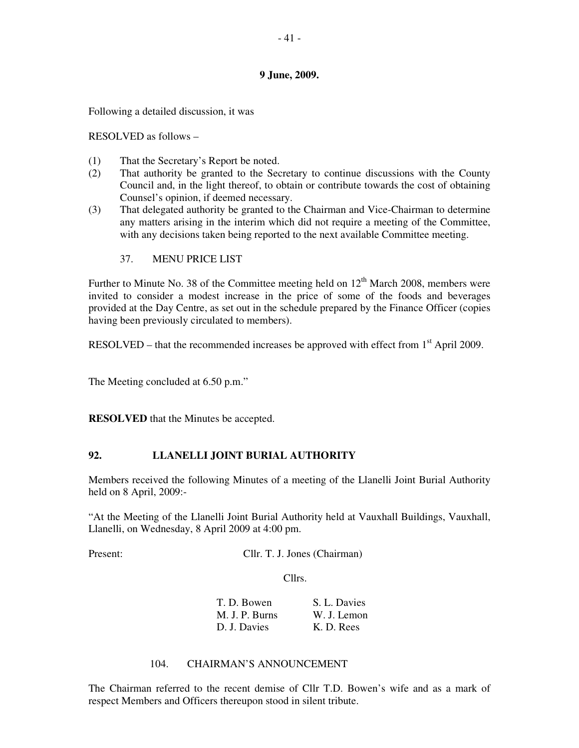Following a detailed discussion, it was

RESOLVED as follows –

- (1) That the Secretary's Report be noted.
- (2) That authority be granted to the Secretary to continue discussions with the County Council and, in the light thereof, to obtain or contribute towards the cost of obtaining Counsel's opinion, if deemed necessary.
- (3) That delegated authority be granted to the Chairman and Vice-Chairman to determine any matters arising in the interim which did not require a meeting of the Committee, with any decisions taken being reported to the next available Committee meeting.
	- 37. MENU PRICE LIST

Further to Minute No. 38 of the Committee meeting held on  $12<sup>th</sup>$  March 2008, members were invited to consider a modest increase in the price of some of the foods and beverages provided at the Day Centre, as set out in the schedule prepared by the Finance Officer (copies having been previously circulated to members).

RESOLVED – that the recommended increases be approved with effect from  $1<sup>st</sup>$  April 2009.

The Meeting concluded at 6.50 p.m."

**RESOLVED** that the Minutes be accepted.

## **92. LLANELLI JOINT BURIAL AUTHORITY**

Members received the following Minutes of a meeting of the Llanelli Joint Burial Authority held on 8 April, 2009:-

"At the Meeting of the Llanelli Joint Burial Authority held at Vauxhall Buildings, Vauxhall, Llanelli, on Wednesday, 8 April 2009 at 4:00 pm.

Present: **Cllr. T. J. Jones (Chairman)** 

Cllrs.

| T. D. Bowen    | S. L. Davies |
|----------------|--------------|
| M. J. P. Burns | W. J. Lemon  |
| D. J. Davies   | K. D. Rees   |

#### 104. CHAIRMAN'S ANNOUNCEMENT

The Chairman referred to the recent demise of Cllr T.D. Bowen's wife and as a mark of respect Members and Officers thereupon stood in silent tribute.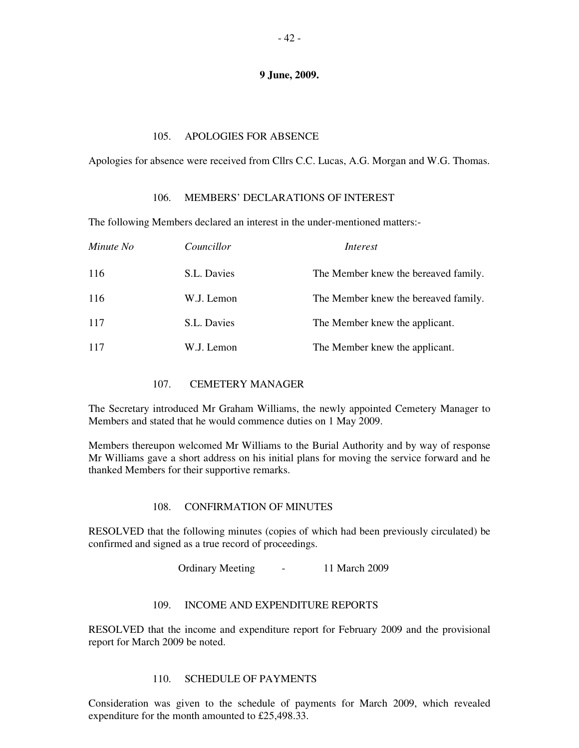#### 105. APOLOGIES FOR ABSENCE

Apologies for absence were received from Cllrs C.C. Lucas, A.G. Morgan and W.G. Thomas.

#### 106. MEMBERS' DECLARATIONS OF INTEREST

The following Members declared an interest in the under-mentioned matters:-

| Minute No | Councillor  | Interest                             |
|-----------|-------------|--------------------------------------|
| 116       | S.L. Davies | The Member knew the bereaved family. |
| 116       | W.J. Lemon  | The Member knew the bereaved family. |
| 117       | S.L. Davies | The Member knew the applicant.       |
| 117       | W.J. Lemon  | The Member knew the applicant.       |

## 107. CEMETERY MANAGER

The Secretary introduced Mr Graham Williams, the newly appointed Cemetery Manager to Members and stated that he would commence duties on 1 May 2009.

Members thereupon welcomed Mr Williams to the Burial Authority and by way of response Mr Williams gave a short address on his initial plans for moving the service forward and he thanked Members for their supportive remarks.

## 108. CONFIRMATION OF MINUTES

RESOLVED that the following minutes (copies of which had been previously circulated) be confirmed and signed as a true record of proceedings.

Ordinary Meeting - 11 March 2009

## 109. INCOME AND EXPENDITURE REPORTS

RESOLVED that the income and expenditure report for February 2009 and the provisional report for March 2009 be noted.

#### 110. SCHEDULE OF PAYMENTS

Consideration was given to the schedule of payments for March 2009, which revealed expenditure for the month amounted to £25,498.33.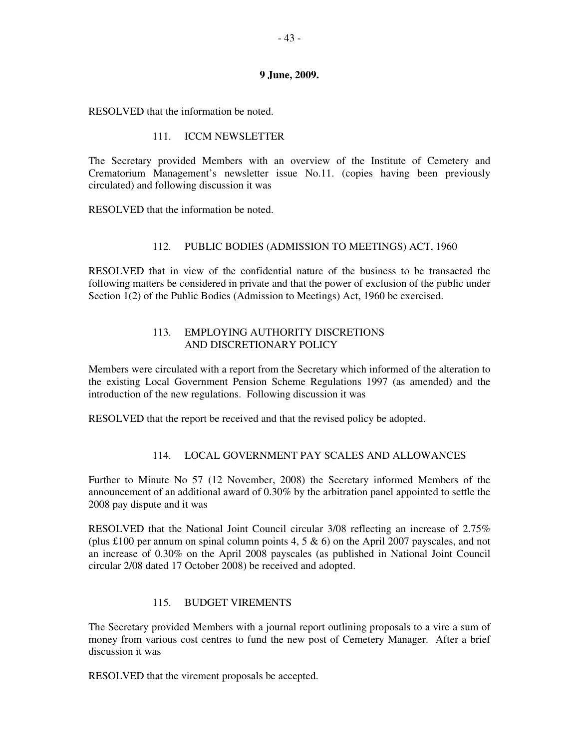RESOLVED that the information be noted.

#### 111. ICCM NEWSLETTER

The Secretary provided Members with an overview of the Institute of Cemetery and Crematorium Management's newsletter issue No.11. (copies having been previously circulated) and following discussion it was

RESOLVED that the information be noted.

#### 112. PUBLIC BODIES (ADMISSION TO MEETINGS) ACT, 1960

RESOLVED that in view of the confidential nature of the business to be transacted the following matters be considered in private and that the power of exclusion of the public under Section 1(2) of the Public Bodies (Admission to Meetings) Act, 1960 be exercised.

## 113. EMPLOYING AUTHORITY DISCRETIONS AND DISCRETIONARY POLICY

Members were circulated with a report from the Secretary which informed of the alteration to the existing Local Government Pension Scheme Regulations 1997 (as amended) and the introduction of the new regulations. Following discussion it was

RESOLVED that the report be received and that the revised policy be adopted.

## 114. LOCAL GOVERNMENT PAY SCALES AND ALLOWANCES

Further to Minute No 57 (12 November, 2008) the Secretary informed Members of the announcement of an additional award of 0.30% by the arbitration panel appointed to settle the 2008 pay dispute and it was

RESOLVED that the National Joint Council circular 3/08 reflecting an increase of 2.75% (plus £100 per annum on spinal column points 4, 5  $\&$  6) on the April 2007 payscales, and not an increase of 0.30% on the April 2008 payscales (as published in National Joint Council circular 2/08 dated 17 October 2008) be received and adopted.

## 115. BUDGET VIREMENTS

The Secretary provided Members with a journal report outlining proposals to a vire a sum of money from various cost centres to fund the new post of Cemetery Manager. After a brief discussion it was

RESOLVED that the virement proposals be accepted.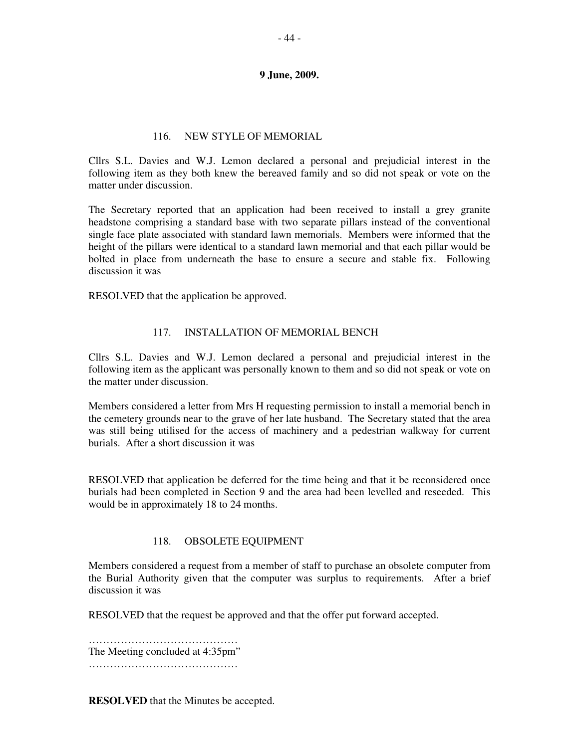### 116. NEW STYLE OF MEMORIAL

Cllrs S.L. Davies and W.J. Lemon declared a personal and prejudicial interest in the following item as they both knew the bereaved family and so did not speak or vote on the matter under discussion.

The Secretary reported that an application had been received to install a grey granite headstone comprising a standard base with two separate pillars instead of the conventional single face plate associated with standard lawn memorials. Members were informed that the height of the pillars were identical to a standard lawn memorial and that each pillar would be bolted in place from underneath the base to ensure a secure and stable fix. Following discussion it was

RESOLVED that the application be approved.

## 117 **INSTALLATION OF MEMORIAL BENCH**

Cllrs S.L. Davies and W.J. Lemon declared a personal and prejudicial interest in the following item as the applicant was personally known to them and so did not speak or vote on the matter under discussion.

Members considered a letter from Mrs H requesting permission to install a memorial bench in the cemetery grounds near to the grave of her late husband. The Secretary stated that the area was still being utilised for the access of machinery and a pedestrian walkway for current burials. After a short discussion it was

RESOLVED that application be deferred for the time being and that it be reconsidered once burials had been completed in Section 9 and the area had been levelled and reseeded. This would be in approximately 18 to 24 months.

#### 118. OBSOLETE EQUIPMENT

Members considered a request from a member of staff to purchase an obsolete computer from the Burial Authority given that the computer was surplus to requirements. After a brief discussion it was

RESOLVED that the request be approved and that the offer put forward accepted.

…………………………………………… The Meeting concluded at 4:35pm" ……………………………………

**RESOLVED** that the Minutes be accepted.